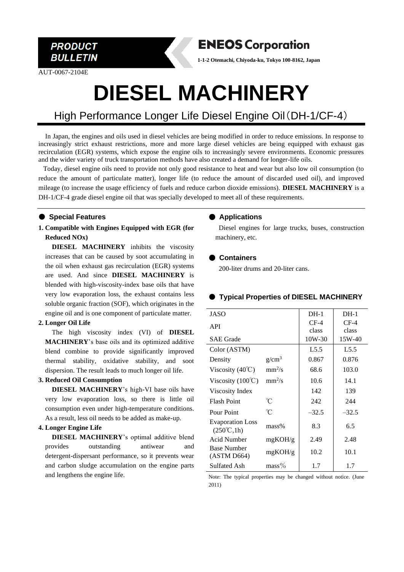

AUT-0067-2104E

## **ENEOS Corporation**

**1-1-2 Otemachi, Chiyoda-ku, Tokyo 100-8162, Japan**

# **DIESEL MACHINERY**

### High Performance Longer Life Diesel Engine Oil(DH-1/CF-4)

In Japan, the engines and oils used in diesel vehicles are being modified in order to reduce emissions. In response to increasingly strict exhaust restrictions, more and more large diesel vehicles are being equipped with exhaust gas recirculation (EGR) systems, which expose the engine oils to increasingly severe environments. Economic pressures and the wider variety of truck transportation methods have also created a demand for longer-life oils.

Today, diesel engine oils need to provide not only good resistance to heat and wear but also low oil consumption (to reduce the amount of particulate matter), longer life (to reduce the amount of discarded used oil), and improved mileage (to increase the usage efficiency of fuels and reduce carbon dioxide emissions). **DIESEL MACHINERY** is a DH-1/CF-4 grade diesel engine oil that was specially developed to meet all of these requirements.

#### ● **Special Features**

**1. Compatible with Engines Equipped with EGR (for Reduced NOx)**

**DIESEL MACHINERY** inhibits the viscosity increases that can be caused by soot accumulating in the oil when exhaust gas recirculation (EGR) systems are used. And since **DIESEL MACHINERY** is blended with high-viscosity-index base oils that have very low evaporation loss, the exhaust contains less soluble organic fraction (SOF), which originates in the engine oil and is one component of particulate matter.

#### **2. Longer Oil Life**

The high viscosity index (VI) of **DIESEL MACHINERY**'s base oils and its optimized additive blend combine to provide significantly improved thermal stability, oxidative stability, and soot dispersion. The result leads to much longer oil life.

#### **3. Reduced Oil Consumption**

**DIESEL MACHINERY**'s high-VI base oils have very low evaporation loss, so there is little oil consumption even under high-temperature conditions. As a result, less oil needs to be added as make-up.

#### **4. Longer Engine Life**

**DIESEL MACHINERY**'s optimal additive blend provides outstanding antiwear and detergent-dispersant performance, so it prevents wear and carbon sludge accumulation on the engine parts and lengthens the engine life.

#### ● **Applications**

Diesel engines for large trucks, buses, construction machinery, etc.

#### ● **Containers**

200-liter drums and 20-liter cans.

#### ● **Typical Properties of DIESEL MACHINERY**

| JASO                                                         |          | $DH-1$   | $DH-1$  |
|--------------------------------------------------------------|----------|----------|---------|
| <b>API</b>                                                   |          | $CF-4$   | $CF-4$  |
|                                                              |          | class    | class   |
| <b>SAE</b> Grade                                             |          | $10W-30$ | 15W-40  |
| Color (ASTM)                                                 |          | L5.5     | L5.5    |
| Density                                                      | $g/cm^3$ | 0.867    | 0.876   |
| Viscosity $(40^{\circ}\text{C})$                             | $mm^2/s$ | 68.6     | 103.0   |
| Viscosity $(100^{\circ}\text{C})$                            | $mm^2/s$ | 10.6     | 14.1    |
| Viscosity Index                                              |          | 142      | 139     |
| <b>Flash Point</b>                                           | U        | 242      | 244     |
| Pour Point                                                   | °C       | $-32.5$  | $-32.5$ |
| <b>Evaporation Loss</b><br>$(250^{\circ}\text{C},1\text{h})$ | $mass\%$ | 8.3      | 6.5     |
| Acid Number                                                  | mgKOH/g  | 2.49     | 2.48    |
| <b>Base Number</b><br>(ASTM D664)                            | mgKOH/g  | 10.2     | 10.1    |
| Sulfated Ash                                                 | $mass\%$ | 1.7      | 1.7     |

Note: The typical properties may be changed without notice. (June 2011)